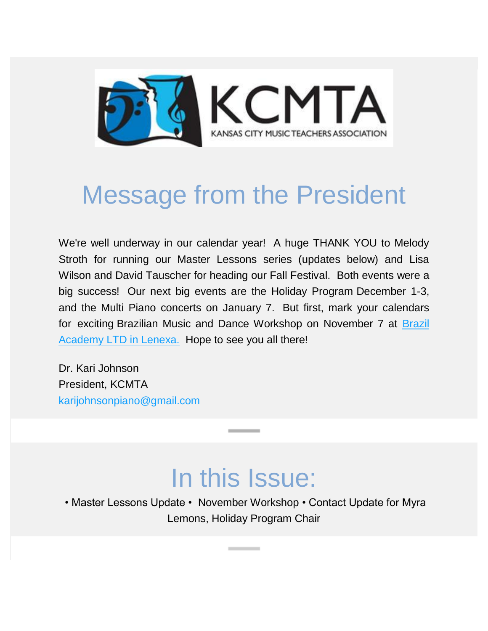

# Message from the President

We're well underway in our calendar year! A huge THANK YOU to Melody Stroth for running our Master Lessons series (updates below) and Lisa Wilson and David Tauscher for heading our Fall Festival. Both events were a big success! Our next big events are the Holiday Program December 1-3, and the Multi Piano concerts on January 7. But first, mark your calendars for exciting Brazilian Music and Dance Workshop on November 7 at [Brazil](http://www.brazilacademyusa.com/)  [Academy LTD in Lenexa.](http://www.brazilacademyusa.com/) Hope to see you all there!

Dr. Kari Johnson President, KCMTA [karijohnsonpiano@gmail.com](mailto:karijohnsonpiano@gmail.com)

### In this Issue:

• Master Lessons Update • November Workshop • Contact Update for Myra Lemons, Holiday Program Chair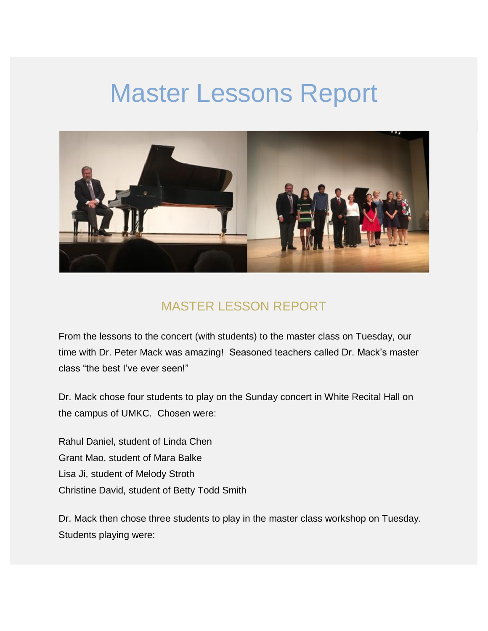### Master Lessons Report



#### MASTER LESSON REPORT

From the lessons to the concert (with students) to the master class on Tuesday, our time with Dr. Peter Mack was amazing! Seasoned teachers called Dr. Mack's master class "the best I've ever seen!"

Dr. Mack chose four students to play on the Sunday concert in White Recital Hall on the campus of UMKC. Chosen were:

Rahul Daniel, student of Linda Chen Grant Mao, student of Mara Balke Lisa Ji, student of Melody Stroth Christine David, student of Betty Todd Smith

Dr. Mack then chose three students to play in the master class workshop on Tuesday. Students playing were: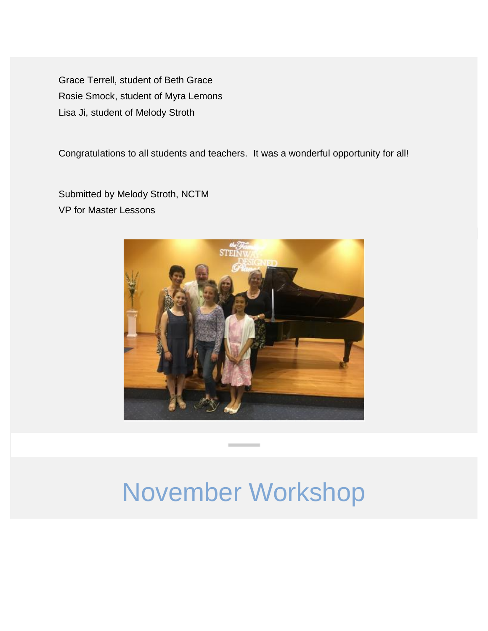Grace Terrell, student of Beth Grace Rosie Smock, student of Myra Lemons Lisa Ji, student of Melody Stroth

Congratulations to all students and teachers. It was a wonderful opportunity for all!

Submitted by Melody Stroth, NCTM VP for Master Lessons



### November Workshop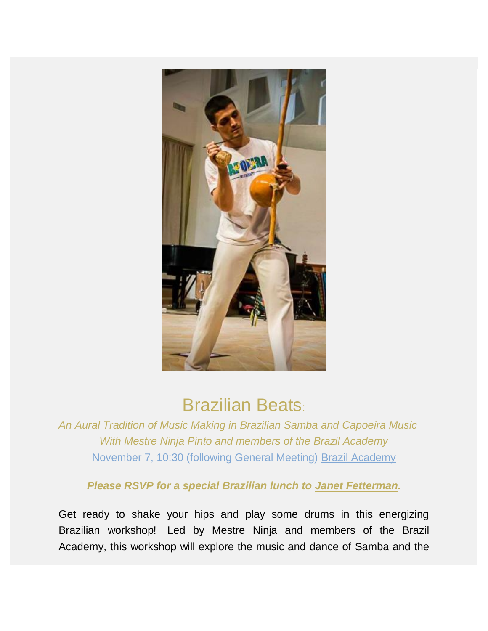

### Brazilian Beats:

*An Aural Tradition of Music Making in Brazilian Samba and Capoeira Music With Mestre Ninja Pinto and members of the Brazil Academy* November 7, 10:30 (following General Meeting) [Brazil Academy](http://www.brazilacademyusa.com/)

*Please RSVP for a special Brazilian lunch to [Janet Fetterman.](http://janet.fetterman@swbell.net/)*

Get ready to shake your hips and play some drums in this energizing Brazilian workshop! Led by Mestre Ninja and members of the Brazil Academy, this workshop will explore the music and dance of Samba and the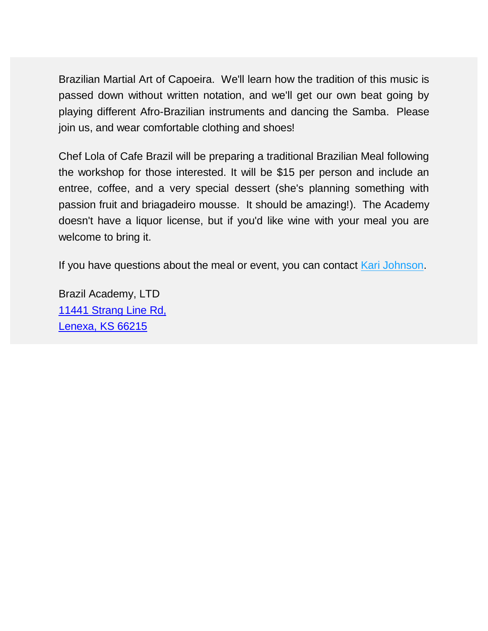Brazilian Martial Art of Capoeira. We'll learn how the tradition of this music is passed down without written notation, and we'll get our own beat going by playing different Afro-Brazilian instruments and dancing the Samba. Please join us, and wear comfortable clothing and shoes!

Chef Lola of Cafe Brazil will be preparing a traditional Brazilian Meal following the workshop for those interested. It will be \$15 per person and include an entree, coffee, and a very special dessert (she's planning something with passion fruit and briagadeiro mousse. It should be amazing!). The Academy doesn't have a liquor license, but if you'd like wine with your meal you are welcome to bring it.

If you have questions about the meal or event, you can contact [Kari Johnson.](http://karijohnsonpiano@gmail.com/)

Brazil Academy, LTD [11441 Strang Line Rd,](https://maps.google.com/?q=11441+Strang+Line+Rd,+Lenexa,+KS+66215&entry=gmail&source=g) [Lenexa, KS 66215](https://maps.google.com/?q=11441+Strang+Line+Rd,+Lenexa,+KS+66215&entry=gmail&source=g)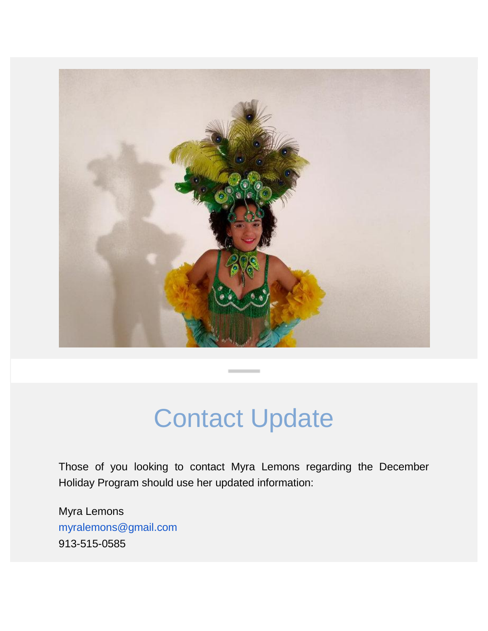

## Contact Update

Those of you looking to contact Myra Lemons regarding the December Holiday Program should use her updated information:

Myra Lemons [myralemons@gmail.com](mailto:myralemons@gmail.com) 913-515-0585